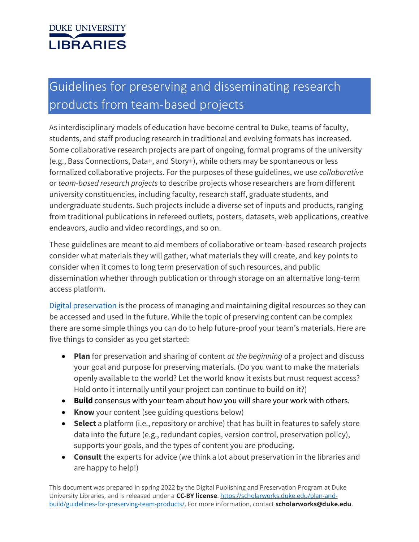# **DUKE UNIVERSITY LIBRARIES**

# Guidelines for preserving and disseminating research products from team-based projects

As interdisciplinary models of education have become central to Duke, teams of faculty, students, and staff producing research in traditional and evolving formats has increased. Some collaborative research projects are part of ongoing, formal programs of the university (e.g., Bass Connections, Data+, and Story+), while others may be spontaneous or less formalized collaborative projects. For the purposes of these guidelines, we use *collaborative* or *team-based research projects* to describe projects whose researchers are from different university constituencies, including faculty, research staff, graduate students, and undergraduate students. Such projects include a diverse set of inputs and products, ranging from traditional publications in refereed outlets, posters, datasets, web applications, creative endeavors, audio and video recordings, and so on.

These guidelines are meant to aid members of collaborative or team-based research projects consider what materials they will gather, what materials they will create, and key points to consider when it comes to long term preservation of such resources, and public dissemination whether through publication or through storage on an alternative long-term access platform.

[Digital preservation](https://library.duke.edu/using/policies/digital-preservation-guide) is the process of managing and maintaining digital resources so they can be accessed and used in the future. While the topic of preserving content can be complex there are some simple things you can do to help future-proof your team's materials. Here are five things to consider as you get started:

- **Plan** for preservation and sharing of content *at the beginning* of a project and discuss your goal and purpose for preserving materials. (Do you want to make the materials openly available to the world? Let the world know it exists but must request access? Hold onto it internally until your project can continue to build on it?)
- **Build** consensus with your team about how you will share your work with others.
- **Know** your content (see guiding questions below)
- **Select** a platform (i.e., repository or archive) that has built in features to safely store data into the future (e.g., redundant copies, version control, preservation policy), supports your goals, and the types of content you are producing.
- **Consult** the experts for advice (we think a lot about preservation in the libraries and are happy to help!)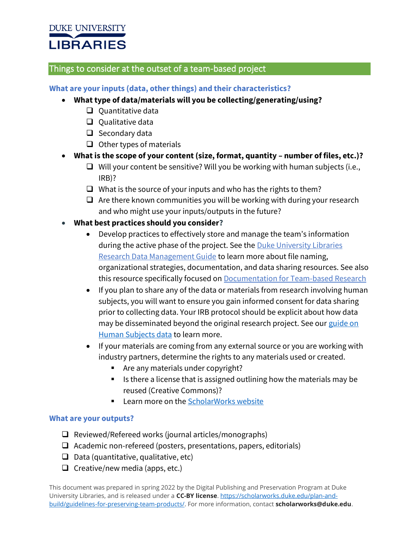# **DUKE UNIVERSITY LIBRARIES**

# Things to consider at the outset of a team-based project

## **What are your inputs (data, other things) and their characteristics?**

- **What type of data/materials will you be collecting/generating/using?**
	- ❑ Quantitative data
	- ❑ Qualitative data
	- ❑ Secondary data
	- ❑ Other types of materials
- **What is the scope of your content (size, format, quantity – number of files, etc.)?**
	- ❑ Will your content be sensitive? Will you be working with human subjects (i.e., IRB)?
	- $\Box$  What is the source of your inputs and who has the rights to them?
	- $\Box$  Are there known communities you will be working with during your research and who might use your inputs/outputs in the future?
- **What best practices should you consider?** 
	- Develop practices to effectively store and manage the team's information during the active phase of the project. See the Duke University Libraries [Research Data Management Guide](https://guides.library.duke.edu/research-data-management) to learn more about file naming, organizational strategies, documentation, and data sharing resources. See also this resource specifically focused on [Documentation for Team-based Research](https://bassconnections.duke.edu/sites/bassconnections.duke.edu/files/site-images/Documentation.pdf)
	- If you plan to share any of the data or materials from research involving human subjects, you will want to ensure you gain informed consent for data sharing prior to collecting data. Your IRB protocol should be explicit about how data may be disseminated beyond the original research project. See our guide on [Human Subjects data](https://guides.library.duke.edu/c.php?g=633433&p=8162090) to learn more.
	- If your materials are coming from any external source or you are working with industry partners, determine the rights to any materials used or created.
		- Are any materials under copyright?
		- Is there a license that is assigned outlining how the materials may be reused (Creative Commons)?
		- Learn more on th[e ScholarWorks website](https://scholarworks.duke.edu/copyright-advice/)

#### **What are your outputs?**

- ❑ Reviewed/Refereed works (journal articles/monographs)
- ❑ Academic non-refereed (posters, presentations, papers, editorials)
- $\Box$  Data (quantitative, qualitative, etc)
- $\Box$  Creative/new media (apps, etc.)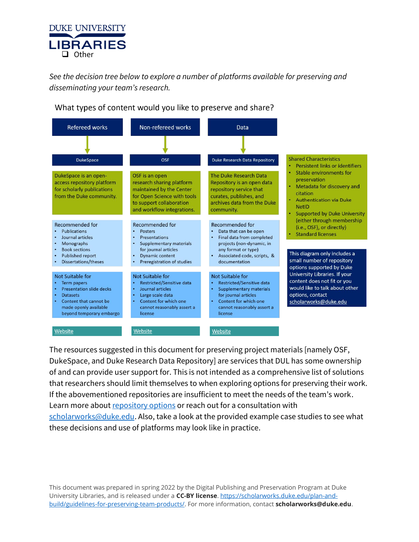

*See the decision tree below to explore a number of platforms available for preserving and disseminating your team's research.*

| <b>Refereed works</b><br><b>DukeSpace</b>                                                                                                                                   | Non-refereed works<br><b>OSF</b>                                                                                                                                                   | Data<br><b>Duke Research Data Repository</b>                                                                                                                                     | <b>Shared Characteristics</b>                                                                                                                                                                                      |  |
|-----------------------------------------------------------------------------------------------------------------------------------------------------------------------------|------------------------------------------------------------------------------------------------------------------------------------------------------------------------------------|----------------------------------------------------------------------------------------------------------------------------------------------------------------------------------|--------------------------------------------------------------------------------------------------------------------------------------------------------------------------------------------------------------------|--|
| DukeSpace is an open-<br>access repository platform<br>for scholarly publications<br>from the Duke community.                                                               | OSF is an open<br>research sharing platform<br>maintained by the Center<br>for Open Science with tools<br>to support collaboration<br>and workflow integrations.                   | The Duke Research Data<br>Repository is an open data<br>repository service that<br>curates, publishes, and<br>archives data from the Duke<br>community.                          | Persistent links or identifiers<br>Stable environments for<br>preservation<br>Metadata for discovery and<br>citation<br><b>Authentication via Duke</b><br><b>NetID</b><br><b>Supported by Duke University</b><br>٠ |  |
| <b>Recommended for</b><br><b>Publications</b><br>Journal articles<br>Monographs<br><b>Book sections</b><br><b>Published report</b><br>Dissertations/theses                  | <b>Recommended for</b><br><b>Posters</b><br><b>Presentations</b><br><b>Supplementary materials</b><br>for journal articles<br><b>Dynamic content</b><br>Preregistration of studies | <b>Recommended for</b><br>Data that can be open<br>Final data from completed<br>projects (non-dynamic, in<br>any format or type)<br>Associated code, scripts, &<br>documentation | (either through membership<br>(i.e., OSF), or directly)<br><b>Standard licenses</b><br>This diagram only includes a<br>small number of repository<br>options supported by Duke                                     |  |
| Not Suitable for<br><b>Term papers</b><br><b>Presentation slide decks</b><br><b>Datasets</b><br>Content that cannot be<br>made openly available<br>beyond temporary embargo | <b>Not Suitable for</b><br><b>Restricted/Sensitive data</b><br>Journal articles<br>Large scale data<br>Content for which one<br>cannot reasonably assert a<br>license              | Not Suitable for<br><b>Restricted/Sensitive data</b><br><b>Supplementary materials</b><br>for journal articles<br>Content for which one<br>cannot reasonably assert a<br>license | University Libraries. If your<br>content does not fit or you<br>would like to talk about other<br>options, contact<br>scholarworks@duke.edu                                                                        |  |
| Website                                                                                                                                                                     | Website                                                                                                                                                                            | Website                                                                                                                                                                          |                                                                                                                                                                                                                    |  |

What types of content would you like to preserve and share?

The resources suggested in this document for preserving project materials [namely OSF, DukeSpace, and Duke Research Data Repository] are services that DUL has some ownership of and can provide user support for. This is not intended as a comprehensive list of solutions that researchers should limit themselves to when exploring options for preserving their work. If the abovementioned repositories are insufficient to meet the needs of the team's work. Learn more about [repository options](https://scholarworks.duke.edu/open-access/deposit/) or reach out for a consultation with [scholarworks@duke.edu.](mailto:scholarworks@duke.edu) Also, take a look at the provided example case studies to see what these decisions and use of platforms may look like in practice.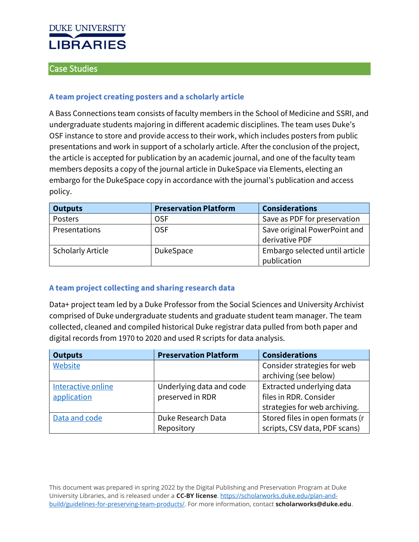

## Case Studies

#### **A team project creating posters and a scholarly article**

A Bass Connections team consists of faculty members in the School of Medicine and SSRI, and undergraduate students majoring in different academic disciplines. The team uses Duke's OSF instance to store and provide access to their work, which includes posters from public presentations and work in support of a scholarly article. After the conclusion of the project, the article is accepted for publication by an academic journal, and one of the faculty team members deposits a copy of the journal article in DukeSpace via Elements, electing an embargo for the DukeSpace copy in accordance with the journal's publication and access policy.

| <b>Outputs</b>           | <b>Preservation Platform</b> | <b>Considerations</b>                          |
|--------------------------|------------------------------|------------------------------------------------|
| Posters                  | <b>OSF</b>                   | Save as PDF for preservation                   |
| Presentations            | <b>OSF</b>                   | Save original PowerPoint and<br>derivative PDF |
| <b>Scholarly Article</b> | <b>DukeSpace</b>             | Embargo selected until article<br>publication  |

#### **A team project collecting and sharing research data**

Data+ project team led by a Duke Professor from the Social Sciences and University Archivist comprised of Duke undergraduate students and graduate student team manager. The team collected, cleaned and compiled historical Duke registrar data pulled from both paper and digital records from 1970 to 2020 and used R scripts for data analysis.

| <b>Outputs</b>     | <b>Preservation Platform</b> | <b>Considerations</b>           |
|--------------------|------------------------------|---------------------------------|
| Website            |                              | Consider strategies for web     |
|                    |                              | archiving (see below)           |
| Interactive online | Underlying data and code     | Extracted underlying data       |
| application        | preserved in RDR             | files in RDR. Consider          |
|                    |                              | strategies for web archiving.   |
| Data and code      | Duke Research Data           | Stored files in open formats (r |
|                    | Repository                   | scripts, CSV data, PDF scans)   |